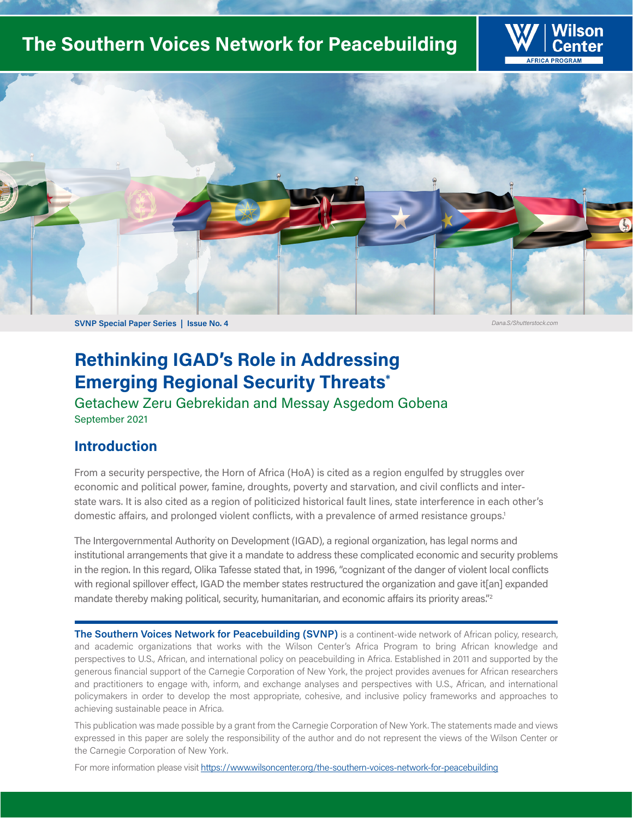# **The Southern Voices Network for Peacebuilding**





# **Rethinking IGAD's Role in Addressing Emerging Regional Security Threats\***

Getachew Zeru Gebrekidan and Messay Asgedom Gobena September 2021

## **Introduction**

From a security perspective, the Horn of Africa (HoA) is cited as a region engulfed by struggles over economic and political power, famine, droughts, poverty and starvation, and civil conflicts and interstate wars. It is also cited as a region of politicized historical fault lines, state interference in each other's domestic affairs, and prolonged violent conflicts, with a prevalence of armed resistance groups.<sup>1</sup>

The Intergovernmental Authority on Development (IGAD), a regional organization, has legal norms and institutional arrangements that give it a mandate to address these complicated economic and security problems in the region. In this regard, Olika Tafesse stated that, in 1996, "cognizant of the danger of violent local conflicts with regional spillover effect, IGAD the member states restructured the organization and gave it[an] expanded mandate thereby making political, security, humanitarian, and economic affairs its priority areas."<sup>2</sup>

**The Southern Voices Network for Peacebuilding (SVNP)** is a continent-wide network of African policy, research, and academic organizations that works with the Wilson Center's Africa Program to bring African knowledge and perspectives to U.S., African, and international policy on peacebuilding in Africa. Established in 2011 and supported by the generous financial support of the Carnegie Corporation of New York, the project provides avenues for African researchers and practitioners to engage with, inform, and exchange analyses and perspectives with U.S., African, and international policymakers in order to develop the most appropriate, cohesive, and inclusive policy frameworks and approaches to achieving sustainable peace in Africa.

This publication was made possible by a grant from the Carnegie Corporation of New York. The statements made and views expressed in this paper are solely the responsibility of the author and do not represent the views of the Wilson Center or the Carnegie Corporation of New York.

For more information please visit https://www.wilsoncenter.org/the-southern-voices-network-for-peacebuilding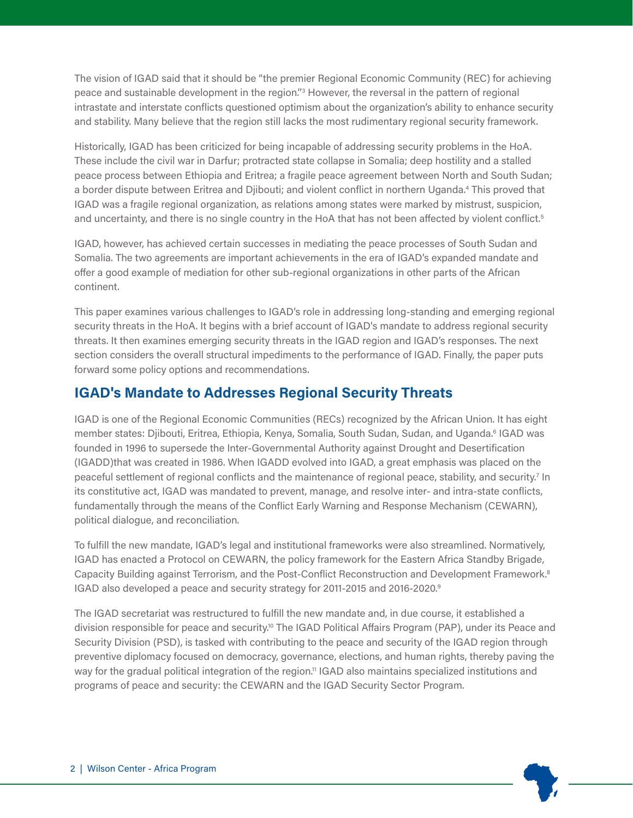The vision of IGAD said that it should be "the premier Regional Economic Community (REC) for achieving peace and sustainable development in the region."<sup>3</sup> However, the reversal in the pattern of regional intrastate and interstate conflicts questioned optimism about the organization's ability to enhance security and stability. Many believe that the region still lacks the most rudimentary regional security framework.

Historically, IGAD has been criticized for being incapable of addressing security problems in the HoA. These include the civil war in Darfur; protracted state collapse in Somalia; deep hostility and a stalled peace process between Ethiopia and Eritrea; a fragile peace agreement between North and South Sudan; a border dispute between Eritrea and Djibouti; and violent conflict in northern Uganda.4 This proved that IGAD was a fragile regional organization, as relations among states were marked by mistrust, suspicion, and uncertainty, and there is no single country in the HoA that has not been affected by violent conflict.<sup>5</sup>

IGAD, however, has achieved certain successes in mediating the peace processes of South Sudan and Somalia. The two agreements are important achievements in the era of IGAD's expanded mandate and offer a good example of mediation for other sub-regional organizations in other parts of the African continent.

This paper examines various challenges to IGAD's role in addressing long-standing and emerging regional security threats in the HoA. It begins with a brief account of IGAD's mandate to address regional security threats. It then examines emerging security threats in the IGAD region and IGAD's responses. The next section considers the overall structural impediments to the performance of IGAD. Finally, the paper puts forward some policy options and recommendations.

## **IGAD's Mandate to Addresses Regional Security Threats**

IGAD is one of the Regional Economic Communities (RECs) recognized by the African Union. It has eight member states: Djibouti, Eritrea, Ethiopia, Kenya, Somalia, South Sudan, Sudan, and Uganda.<sup>6</sup> IGAD was founded in 1996 to supersede the Inter-Governmental Authority against Drought and Desertification (IGADD)that was created in 1986. When IGADD evolved into IGAD, a great emphasis was placed on the peaceful settlement of regional conflicts and the maintenance of regional peace, stability, and security.<sup>7</sup> In its constitutive act, IGAD was mandated to prevent, manage, and resolve inter- and intra-state conflicts, fundamentally through the means of the Conflict Early Warning and Response Mechanism (CEWARN), political dialogue, and reconciliation.

To fulfill the new mandate, IGAD's legal and institutional frameworks were also streamlined. Normatively, IGAD has enacted a Protocol on CEWARN, the policy framework for the Eastern Africa Standby Brigade, Capacity Building against Terrorism, and the Post-Conflict Reconstruction and Development Framework.8 IGAD also developed a peace and security strategy for 2011-2015 and 2016-2020.9

The IGAD secretariat was restructured to fulfill the new mandate and, in due course, it established a division responsible for peace and security.10 The IGAD Political Affairs Program (PAP), under its Peace and Security Division (PSD), is tasked with contributing to the peace and security of the IGAD region through preventive diplomacy focused on democracy, governance, elections, and human rights, thereby paving the way for the gradual political integration of the region.<sup>11</sup> IGAD also maintains specialized institutions and programs of peace and security: the CEWARN and the IGAD Security Sector Program.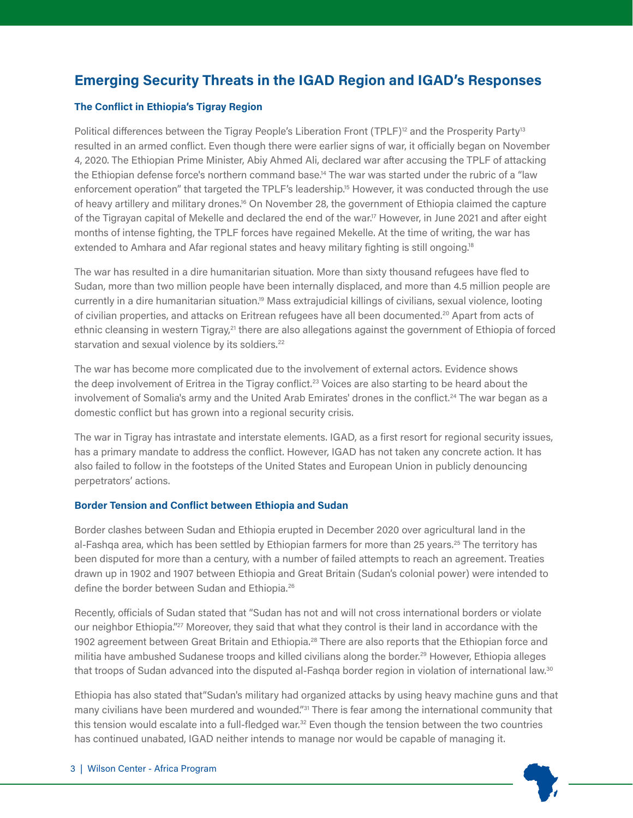## **Emerging Security Threats in the IGAD Region and IGAD's Responses**

## **The Conflict in Ethiopia's Tigray Region**

Political differences between the Tigray People's Liberation Front (TPLF)<sup>12</sup> and the Prosperity Party<sup>13</sup> resulted in an armed conflict. Even though there were earlier signs of war, it officially began on November 4, 2020. The Ethiopian Prime Minister, Abiy Ahmed Ali, declared war after accusing the TPLF of attacking the Ethiopian defense force's northern command base.<sup>14</sup> The war was started under the rubric of a "law enforcement operation" that targeted the TPLF's leadership.<sup>15</sup> However, it was conducted through the use of heavy artillery and military drones.<sup>16</sup> On November 28, the government of Ethiopia claimed the capture of the Tigrayan capital of Mekelle and declared the end of the war.<sup>17</sup> However, in June 2021 and after eight months of intense fighting, the TPLF forces have regained Mekelle. At the time of writing, the war has extended to Amhara and Afar regional states and heavy military fighting is still ongoing.<sup>18</sup>

The war has resulted in a dire humanitarian situation. More than sixty thousand refugees have fled to Sudan, more than two million people have been internally displaced, and more than 4.5 million people are currently in a dire humanitarian situation.19 Mass extrajudicial killings of civilians, sexual violence, looting of civilian properties, and attacks on Eritrean refugees have all been documented.20 Apart from acts of ethnic cleansing in western Tigray,<sup>21</sup> there are also allegations against the government of Ethiopia of forced starvation and sexual violence by its soldiers.<sup>22</sup>

The war has become more complicated due to the involvement of external actors. Evidence shows the deep involvement of Eritrea in the Tigray conflict.<sup>23</sup> Voices are also starting to be heard about the involvement of Somalia's army and the United Arab Emirates' drones in the conflict.<sup>24</sup> The war began as a domestic conflict but has grown into a regional security crisis.

The war in Tigray has intrastate and interstate elements. IGAD, as a first resort for regional security issues, has a primary mandate to address the conflict. However, IGAD has not taken any concrete action. It has also failed to follow in the footsteps of the United States and European Union in publicly denouncing perpetrators' actions.

## **Border Tension and Conflict between Ethiopia and Sudan**

Border clashes between Sudan and Ethiopia erupted in December 2020 over agricultural land in the al-Fashqa area, which has been settled by Ethiopian farmers for more than 25 years.<sup>25</sup> The territory has been disputed for more than a century, with a number of failed attempts to reach an agreement. Treaties drawn up in 1902 and 1907 between Ethiopia and Great Britain (Sudan's colonial power) were intended to define the border between Sudan and Ethiopia.<sup>26</sup>

Recently, officials of Sudan stated that "Sudan has not and will not cross international borders or violate our neighbor Ethiopia."<sup>27</sup> Moreover, they said that what they control is their land in accordance with the 1902 agreement between Great Britain and Ethiopia.<sup>28</sup> There are also reports that the Ethiopian force and militia have ambushed Sudanese troops and killed civilians along the border.<sup>29</sup> However, Ethiopia alleges that troops of Sudan advanced into the disputed al-Fashqa border region in violation of international law.<sup>30</sup>

Ethiopia has also stated that"Sudan's military had organized attacks by using heavy machine guns and that many civilians have been murdered and wounded."<sup>31</sup> There is fear among the international community that this tension would escalate into a full-fledged war.<sup>32</sup> Even though the tension between the two countries has continued unabated, IGAD neither intends to manage nor would be capable of managing it.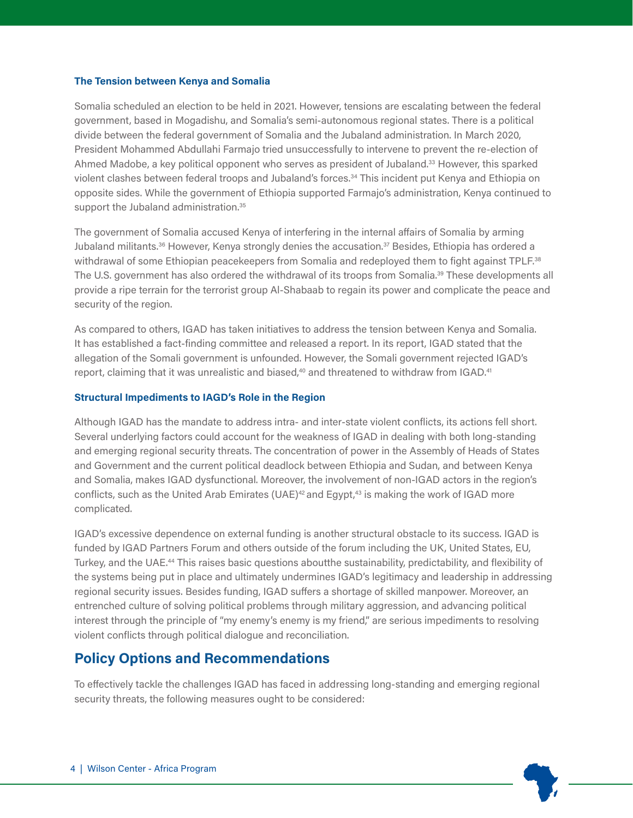## **The Tension between Kenya and Somalia**

Somalia scheduled an election to be held in 2021. However, tensions are escalating between the federal government, based in Mogadishu, and Somalia's semi-autonomous regional states. There is a political divide between the federal government of Somalia and the Jubaland administration. In March 2020, President Mohammed Abdullahi Farmajo tried unsuccessfully to intervene to prevent the re-election of Ahmed Madobe, a key political opponent who serves as president of Jubaland.<sup>33</sup> However, this sparked violent clashes between federal troops and Jubaland's forces.34 This incident put Kenya and Ethiopia on opposite sides. While the government of Ethiopia supported Farmajo's administration, Kenya continued to support the Jubaland administration.<sup>35</sup>

The government of Somalia accused Kenya of interfering in the internal affairs of Somalia by arming Jubaland militants.<sup>36</sup> However, Kenya strongly denies the accusation.<sup>37</sup> Besides, Ethiopia has ordered a withdrawal of some Ethiopian peacekeepers from Somalia and redeployed them to fight against TPLF.<sup>38</sup> The U.S. government has also ordered the withdrawal of its troops from Somalia.<sup>39</sup> These developments all provide a ripe terrain for the terrorist group Al-Shabaab to regain its power and complicate the peace and security of the region.

As compared to others, IGAD has taken initiatives to address the tension between Kenya and Somalia. It has established a fact-finding committee and released a report. In its report, IGAD stated that the allegation of the Somali government is unfounded. However, the Somali government rejected IGAD's report, claiming that it was unrealistic and biased,<sup>40</sup> and threatened to withdraw from IGAD.<sup>41</sup>

## **Structural Impediments to IAGD's Role in the Region**

Although IGAD has the mandate to address intra- and inter-state violent conflicts, its actions fell short. Several underlying factors could account for the weakness of IGAD in dealing with both long-standing and emerging regional security threats. The concentration of power in the Assembly of Heads of States and Government and the current political deadlock between Ethiopia and Sudan, and between Kenya and Somalia, makes IGAD dysfunctional. Moreover, the involvement of non-IGAD actors in the region's conflicts, such as the United Arab Emirates (UAE)<sup>42</sup> and Egypt,<sup>43</sup> is making the work of IGAD more complicated.

IGAD's excessive dependence on external funding is another structural obstacle to its success. IGAD is funded by IGAD Partners Forum and others outside of the forum including the UK, United States, EU, Turkey, and the UAE.44 This raises basic questions aboutthe sustainability, predictability, and flexibility of the systems being put in place and ultimately undermines IGAD's legitimacy and leadership in addressing regional security issues. Besides funding, IGAD suffers a shortage of skilled manpower. Moreover, an entrenched culture of solving political problems through military aggression, and advancing political interest through the principle of "my enemy's enemy is my friend," are serious impediments to resolving violent conflicts through political dialogue and reconciliation.

## **Policy Options and Recommendations**

To effectively tackle the challenges IGAD has faced in addressing long-standing and emerging regional security threats, the following measures ought to be considered: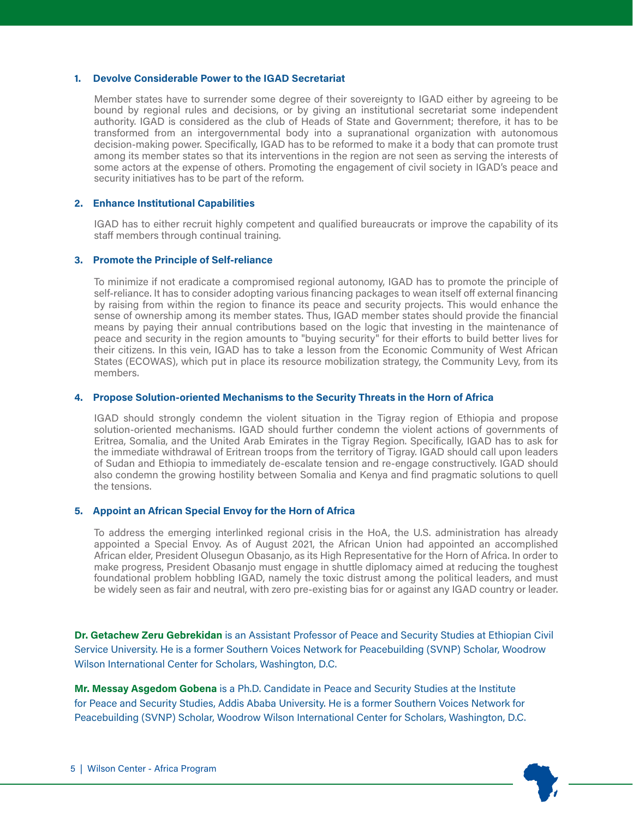#### **1. Devolve Considerable Power to the IGAD Secretariat**

Member states have to surrender some degree of their sovereignty to IGAD either by agreeing to be bound by regional rules and decisions, or by giving an institutional secretariat some independent authority. IGAD is considered as the club of Heads of State and Government; therefore, it has to be transformed from an intergovernmental body into a supranational organization with autonomous decision-making power. Specifically, IGAD has to be reformed to make it a body that can promote trust among its member states so that its interventions in the region are not seen as serving the interests of some actors at the expense of others. Promoting the engagement of civil society in IGAD's peace and security initiatives has to be part of the reform.

## **2. Enhance Institutional Capabilities**

IGAD has to either recruit highly competent and qualified bureaucrats or improve the capability of its staff members through continual training.

## **3. Promote the Principle of Self-reliance**

To minimize if not eradicate a compromised regional autonomy, IGAD has to promote the principle of self-reliance. It has to consider adopting various financing packages to wean itself off external financing by raising from within the region to finance its peace and security projects. This would enhance the sense of ownership among its member states. Thus, IGAD member states should provide the financial means by paying their annual contributions based on the logic that investing in the maintenance of peace and security in the region amounts to "buying security" for their efforts to build better lives for their citizens. In this vein, IGAD has to take a lesson from the Economic Community of West African States (ECOWAS), which put in place its resource mobilization strategy, the Community Levy, from its members.

## **4. Propose Solution-oriented Mechanisms to the Security Threats in the Horn of Africa**

IGAD should strongly condemn the violent situation in the Tigray region of Ethiopia and propose solution-oriented mechanisms. IGAD should further condemn the violent actions of governments of Eritrea, Somalia, and the United Arab Emirates in the Tigray Region. Specifically, IGAD has to ask for the immediate withdrawal of Eritrean troops from the territory of Tigray. IGAD should call upon leaders of Sudan and Ethiopia to immediately de-escalate tension and re-engage constructively. IGAD should also condemn the growing hostility between Somalia and Kenya and find pragmatic solutions to quell the tensions.

## **5. Appoint an African Special Envoy for the Horn of Africa**

To address the emerging interlinked regional crisis in the HoA, the U.S. administration has already appointed a Special Envoy. As of August 2021, the African Union had appointed an accomplished African elder, President Olusegun Obasanjo, as its High Representative for the Horn of Africa. In order to make progress, President Obasanjo must engage in shuttle diplomacy aimed at reducing the toughest foundational problem hobbling IGAD, namely the toxic distrust among the political leaders, and must be widely seen as fair and neutral, with zero pre-existing bias for or against any IGAD country or leader.

**Dr. Getachew Zeru Gebrekidan** is an Assistant Professor of Peace and Security Studies at Ethiopian Civil Service University. He is a former Southern Voices Network for Peacebuilding (SVNP) Scholar, Woodrow Wilson International Center for Scholars, Washington, D.C.

**Mr. Messay Asgedom Gobena** is a Ph.D. Candidate in Peace and Security Studies at the Institute for Peace and Security Studies, Addis Ababa University. He is a former Southern Voices Network for Peacebuilding (SVNP) Scholar, Woodrow Wilson International Center for Scholars, Washington, D.C.

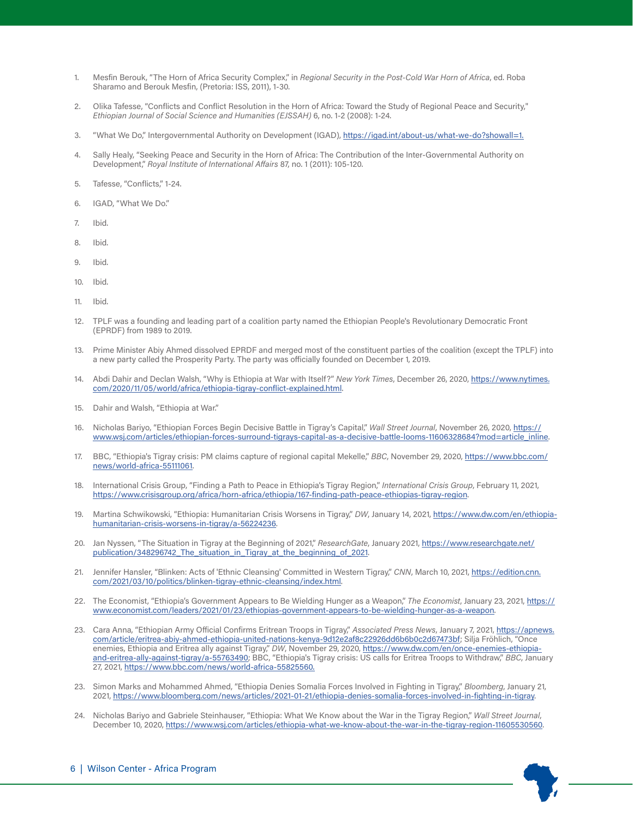- 1. Mesfin Berouk, "The Horn of Africa Security Complex," in *Regional Security in the Post-Cold War Horn of Africa*, ed. Roba Sharamo and Berouk Mesfin, (Pretoria: ISS, 2011), 1-30.
- 2. Olika Tafesse, "Conflicts and Conflict Resolution in the Horn of Africa: Toward the Study of Regional Peace and Security," *Ethiopian Journal of Social Science and Humanities (EJSSAH)* 6, no. 1-2 (2008): 1-24.
- 3. "What We Do," Intergovernmental Authority on Development (IGAD), https://igad.int/about-us/what-we-do?showall=1.
- 4. Sally Healy, "Seeking Peace and Security in the Horn of Africa: The Contribution of the Inter-Governmental Authority on Development," *Royal Institute of International Affairs* 87, no. 1 (2011): 105-120.
- 5. Tafesse, "Conflicts," 1-24.
- 6. IGAD, "What We Do."
- 7. Ibid.
- 8. Ibid.
- 9. Ibid.
- 10. Ibid.
- 11. Ibid.
- 12. TPLF was a founding and leading part of a coalition party named the Ethiopian People's Revolutionary Democratic Front (EPRDF) from 1989 to 2019.
- 13. Prime Minister Abiy Ahmed dissolved EPRDF and merged most of the constituent parties of the coalition (except the TPLF) into a new party called the Prosperity Party. The party was officially founded on December 1, 2019.
- 14. Abdi Dahir and Declan Walsh, "Why is Ethiopia at War with Itself?" *New York Times*, December 26, 2020, https://www.nytimes. com/2020/11/05/world/africa/ethiopia-tigray-conflict-explained.html.
- 15. Dahir and Walsh, "Ethiopia at War."
- 16. Nicholas Bariyo, "Ethiopian Forces Begin Decisive Battle in Tigray's Capital," *Wall Street Journal*, November 26, 2020, https:// www.wsj.com/articles/ethiopian-forces-surround-tigrays-capital-as-a-decisive-battle-looms-11606328684?mod=article\_inline.
- 17. BBC, "Ethiopia's Tigray crisis: PM claims capture of regional capital Mekelle," *BBC*, November 29, 2020, https://www.bbc.com/ news/world-africa-55111061.
- 18. International Crisis Group, "Finding a Path to Peace in Ethiopia's Tigray Region," *International Crisis Group*, February 11, 2021, https://www.crisisgroup.org/africa/horn-africa/ethiopia/167-finding-path-peace-ethiopias-tigray-region.
- 19. Martina Schwikowski, "Ethiopia: Humanitarian Crisis Worsens in Tigray," *DW*, January 14, 2021, https://www.dw.com/en/ethiopiahumanitarian-crisis-worsens-in-tigray/a-56224236.
- 20. Jan Nyssen, "The Situation in Tigray at the Beginning of 2021," *ResearchGate*, January 2021, https://www.researchgate.net/ publication/348296742\_The\_situation\_in\_Tigray\_at\_the\_beginning\_of\_2021.
- 21. Jennifer Hansler, "Blinken: Acts of 'Ethnic Cleansing' Committed in Western Tigray," *CNN*, March 10, 2021, https://edition.cnn. com/2021/03/10/politics/blinken-tigray-ethnic-cleansing/index.html.
- 22. The Economist, "Ethiopia's Government Appears to Be Wielding Hunger as a Weapon," *The Economist*, January 23, 2021, https:// www.economist.com/leaders/2021/01/23/ethiopias-government-appears-to-be-wielding-hunger-as-a-weapon.
- 23. Cara Anna, "Ethiopian Army Official Confirms Eritrean Troops in Tigray," *Associated Press News*, January 7, 2021, https://apnews. com/article/eritrea-abiy-ahmed-ethiopia-united-nations-kenya-9d12e2af8c22926dd6b6b0c2d67473bf; Silja Fröhlich, "Once enemies, Ethiopia and Eritrea ally against Tigray," *DW*, November 29, 2020, https://www.dw.com/en/once-enemies-ethiopiaand-eritrea-ally-against-tigray/a-55763490; BBC, "Ethiopia's Tigray crisis: US calls for Eritrea Troops to Withdraw," *BBC*, January 27, 2021, https://www.bbc.com/news/world-africa-55825560.
- 23. Simon Marks and Mohammed Ahmed, "Ethiopia Denies Somalia Forces Involved in Fighting in Tigray," *Bloomberg*, January 21, 2021, https://www.bloomberg.com/news/articles/2021-01-21/ethiopia-denies-somalia-forces-involved-in-fighting-in-tigray.
- 24. Nicholas Bariyo and Gabriele Steinhauser, "Ethiopia: What We Know about the War in the Tigray Region," *Wall Street Journal*, December 10, 2020, https://www.wsj.com/articles/ethiopia-what-we-know-about-the-war-in-the-tigray-region-11605530560.

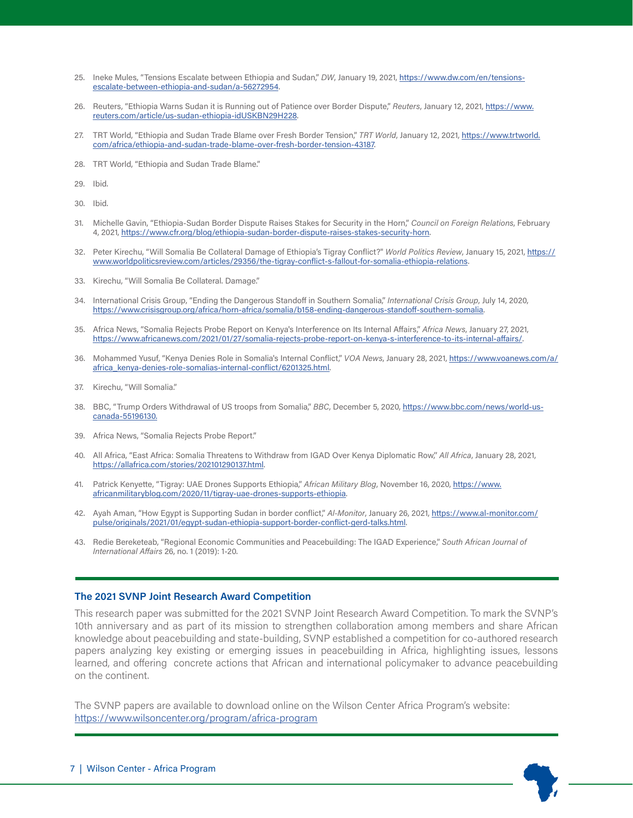- 25. Ineke Mules, "Tensions Escalate between Ethiopia and Sudan," DW, January 19, 2021, https://www.dw.com/en/tensionsescalate-between-ethiopia-and-sudan/a-56272954.
- 26. Reuters, "Ethiopia Warns Sudan it is Running out of Patience over Border Dispute," *Reuters*, January 12, 2021, https://www. reuters.com/article/us-sudan-ethiopia-idUSKBN29H228.
- 27. TRT World, "Ethiopia and Sudan Trade Blame over Fresh Border Tension," *TRT World*, January 12, 2021, https://www.trtworld. com/africa/ethiopia-and-sudan-trade-blame-over-fresh-border-tension-43187.
- 28. TRT World, "Ethiopia and Sudan Trade Blame."
- 29. Ibid.
- 30. Ibid.
- 31. Michelle Gavin, "Ethiopia-Sudan Border Dispute Raises Stakes for Security in the Horn," *Council on Foreign Relations*, February 4, 2021, https://www.cfr.org/blog/ethiopia-sudan-border-dispute-raises-stakes-security-horn.
- 32. Peter Kirechu, "Will Somalia Be Collateral Damage of Ethiopia's Tigray Conflict?" *World Politics Review*, January 15, 2021, https:// www.worldpoliticsreview.com/articles/29356/the-tigray-conflict-s-fallout-for-somalia-ethiopia-relations.
- 33. Kirechu, "Will Somalia Be Collateral. Damage."
- 34. International Crisis Group, "Ending the Dangerous Standoff in Southern Somalia," *International Crisis Group*, July 14, 2020, https://www.crisisgroup.org/africa/horn-africa/somalia/b158-ending-dangerous-standoff-southern-somalia.
- 35. Africa News, "Somalia Rejects Probe Report on Kenya's Interference on Its Internal Affairs," *Africa News*, January 27, 2021, https://www.africanews.com/2021/01/27/somalia-rejects-probe-report-on-kenya-s-interference-to-its-internal-affairs/.
- 36. Mohammed Yusuf, "Kenya Denies Role in Somalia's Internal Conflict," *VOA News*, January 28, 2021, https://www.voanews.com/a/ africa\_kenya-denies-role-somalias-internal-conflict/6201325.html.
- 37. Kirechu, "Will Somalia."
- 38. BBC, "Trump Orders Withdrawal of US troops from Somalia," *BBC*, December 5, 2020, https://www.bbc.com/news/world-uscanada-55196130.
- 39. Africa News, "Somalia Rejects Probe Report."
- 40. All Africa, "East Africa: Somalia Threatens to Withdraw from IGAD Over Kenya Diplomatic Row,'' *All Africa*, January 28, 2021, https://allafrica.com/stories/202101290137.html.
- 41. Patrick Kenyette, "Tigray: UAE Drones Supports Ethiopia," *African Military Blog*, November 16, 2020, https://www. africanmilitaryblog.com/2020/11/tigray-uae-drones-supports-ethiopia.
- 42. Ayah Aman, "How Egypt is Supporting Sudan in border conflict," *Al-Monitor*, January 26, 2021, https://www.al-monitor.com/ pulse/originals/2021/01/egypt-sudan-ethiopia-support-border-conflict-gerd-talks.html.
- 43. Redie Bereketeab, "Regional Economic Communities and Peacebuilding: The IGAD Experience," *South African Journal of International Affairs* 26, no. 1 (2019): 1-20.

#### **The 2021 SVNP Joint Research Award Competition**

This research paper was submitted for the 2021 SVNP Joint Research Award Competition. To mark the SVNP's 10th anniversary and as part of its mission to strengthen collaboration among members and share African knowledge about peacebuilding and state-building, SVNP established a competition for co-authored research papers analyzing key existing or emerging issues in peacebuilding in Africa, highlighting issues, lessons learned, and offering concrete actions that African and international policymaker to advance peacebuilding on the continent.

The SVNP papers are available to download online on the Wilson Center Africa Program's website: https://www.wilsoncenter.org/program/africa-program